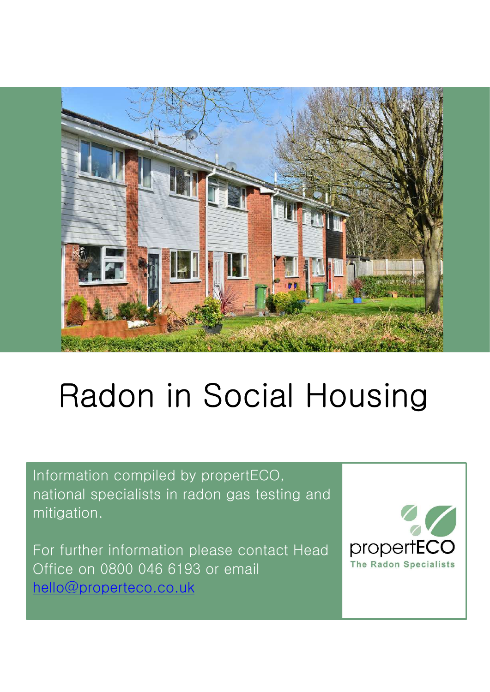

# Radon in Social Housing

Information compiled by propertECO, national specialists in radon gas testing and mitigation.

For further information please contact Head Office on 0800 046 6193 or email hello@properteco.co.uk

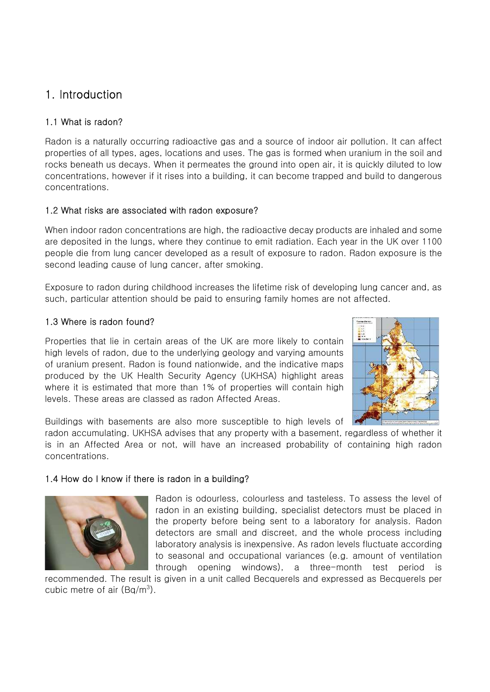### 1. Introduction

#### 1.1 What is radon?

Radon is a naturally occurring radioactive gas and a source of indoor air pollution. It can affect properties of all types, ages, locations and uses. The gas is formed when uranium in the soil and rocks beneath us decays. When it permeates the ground into open air, it is quickly diluted to low concentrations, however if it rises into a building, it can become trapped and build to dangerous concentrations.

#### 1.2 What risks are associated with radon exposure?

When indoor radon concentrations are high, the radioactive decay products are inhaled and some are deposited in the lungs, where they continue to emit radiation. Each year in the UK over 1100 people die from lung cancer developed as a result of exposure to radon. Radon exposure is the second leading cause of lung cancer, after smoking.

Exposure to radon during childhood increases the lifetime risk of developing lung cancer and, as such, particular attention should be paid to ensuring family homes are not affected.

#### 1.3 Where is radon found?

Properties that lie in certain areas of the UK are more likely to contain high levels of radon, due to the underlying geology and varying amounts of uranium present. Radon is found nationwide, and the indicative maps produced by the UK Health Security Agency (UKHSA) highlight areas where it is estimated that more than 1% of properties will contain high levels. These areas are classed as radon Affected Areas.



Buildings with basements are also more susceptible to high levels of

radon accumulating. UKHSA advises that any property with a basement, regardless of whether it is in an Affected Area or not, will have an increased probability of containing high radon concentrations.

#### 1.4 How do I know if there is radon in a building?



Radon is odourless, colourless and tasteless. To assess the level of radon in an existing building, specialist detectors must be placed in the property before being sent to a laboratory for analysis. Radon detectors are small and discreet, and the whole process including laboratory analysis is inexpensive. As radon levels fluctuate according to seasonal and occupational variances (e.g. amount of ventilation through opening windows), a three-month test period is

recommended. The result is given in a unit called Becquerels and expressed as Becquerels per cubic metre of air  $(Bq/m^3)$ .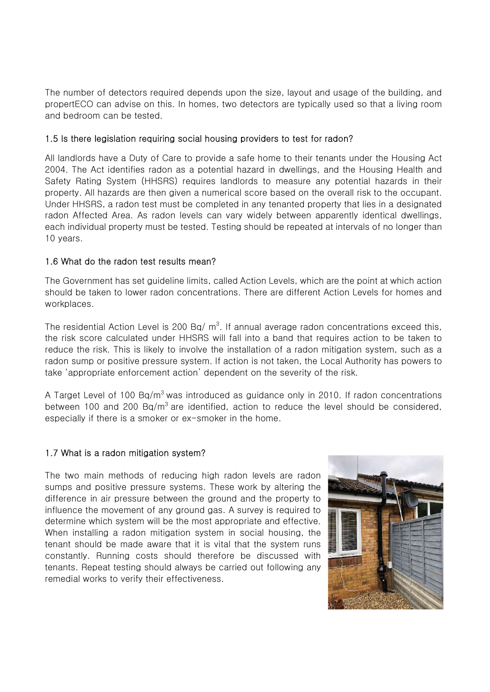The number of detectors required depends upon the size, layout and usage of the building, and propertECO can advise on this. In homes, two detectors are typically used so that a living room and bedroom can be tested.

#### 1.5 Is there legislation requiring social housing providers to test for radon?

All landlords have a Duty of Care to provide a safe home to their tenants under the Housing Act 2004. The Act identifies radon as a potential hazard in dwellings, and the Housing Health and Safety Rating System (HHSRS) requires landlords to measure any potential hazards in their property. All hazards are then given a numerical score based on the overall risk to the occupant. Under HHSRS, a radon test must be completed in any tenanted property that lies in a designated radon Affected Area. As radon levels can vary widely between apparently identical dwellings, each individual property must be tested. Testing should be repeated at intervals of no longer than 10 years.

#### 1.6 What do the radon test results mean?

The Government has set guideline limits, called Action Levels, which are the point at which action should be taken to lower radon concentrations. There are different Action Levels for homes and workplaces.

The residential Action Level is 200 Bq/  $\text{m}^3$ . If annual average radon concentrations exceed this, the risk score calculated under HHSRS will fall into a band that requires action to be taken to reduce the risk. This is likely to involve the installation of a radon mitigation system, such as a radon sump or positive pressure system. If action is not taken, the Local Authority has powers to take 'appropriate enforcement action' dependent on the severity of the risk.

A Target Level of 100  $\text{Bg/m}^3$  was introduced as guidance only in 2010. If radon concentrations between 100 and 200  $Bq/m<sup>3</sup>$  are identified, action to reduce the level should be considered, especially if there is a smoker or ex-smoker in the home.

#### 1.7 What is a radon mitigation system?

The two main methods of reducing high radon levels are radon sumps and positive pressure systems. These work by altering the difference in air pressure between the ground and the property to influence the movement of any ground gas. A survey is required to determine which system will be the most appropriate and effective. When installing a radon mitigation system in social housing, the tenant should be made aware that it is vital that the system runs constantly. Running costs should therefore be discussed with tenants. Repeat testing should always be carried out following any remedial works to verify their effectiveness.